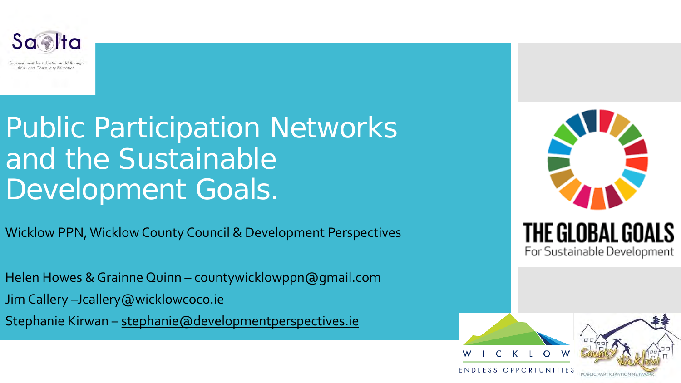

# Public Participation Networks and the Sustainable Development Goals.

Wicklow PPN, Wicklow County Council & Development Perspectives

Helen Howes & Grainne Quinn – countywicklowppn@gmail.com Jim Callery –Jcallery@wicklowcoco.ie Stephanie Kirwan – [stephanie@developmentperspectives.ie](http://developmentperspectives.ie)



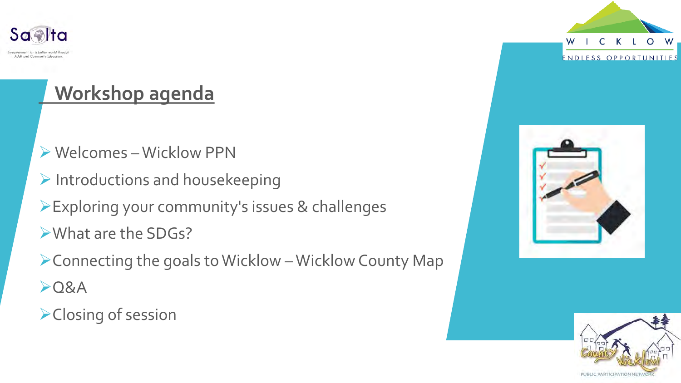

## **Workshop agenda**

- Ø Welcomes –Wicklow PPN
- $\triangleright$  Introductions and housekeeping
- ØExploring your community's issues & challenges
- ØWhat are the SDGs?
- $\triangleright$  Connecting the goals to Wicklow Wicklow County Map  $O8A$
- **≻Closing of session**





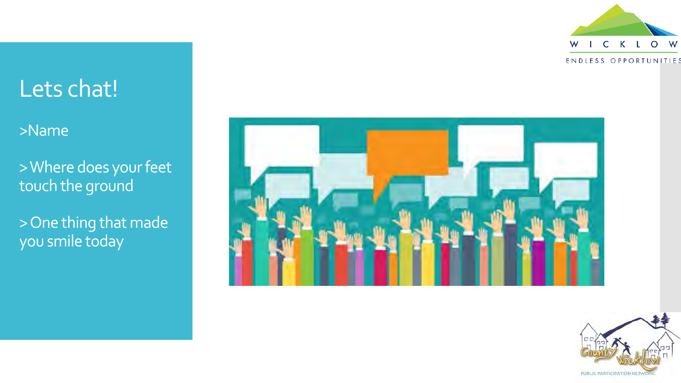

## Lets chat!

## >Name

> Where does your feet touch the ground

> One thing that made you smile today



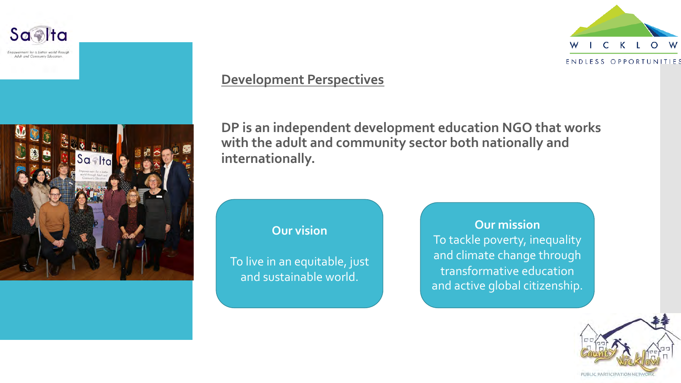

powerment for a better world through Adult and Community Education



#### **Development Perspectives**

**DP is an independent development education NGO that works with the adult and community sector both nationally and internationally.** 

#### **Our vision**

To live in an equitable, just and sustainable world.

**Our mission** To tackle poverty, inequality and climate change through transformative education and active global citizenship.



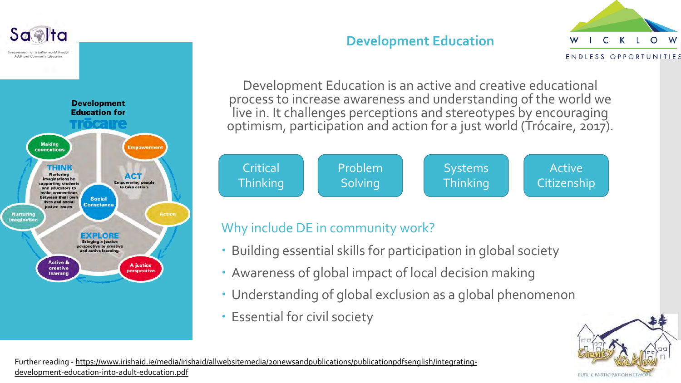

## **Development Education**



Development Education is an active and creative educational process to increase awareness and understanding of the world we live in. It challenges perceptions and stereotypes by encouraging optimism, participation and action for a just world (Trócaire, 2017).



## Why include DE in community work?

- Building essential skills for participation in global society
- Awareness of global impact of local decision making
- Understanding of global exclusion as a global phenomenon
- Essential for civil society



Further reading - [https://www.irishaid.ie/media/irishaid/allwebsitemedia/20newsandpublications/publicationpdfsenglish/integrating](https://www.irishaid.ie/media/irishaid/allwebsitemedia/20newsandpublications/publicationpdfsenglish/integrating-development-education-into-adult-education.pdf)development-education-into-adult-education.pdf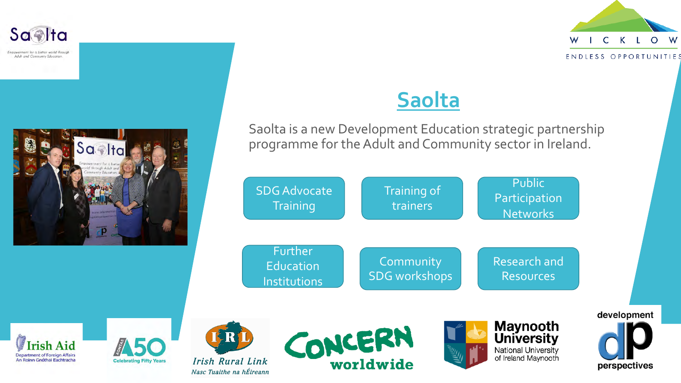

Empowerment for a better world through Adult and Community Education

rish Aid

**Department of Foreign Affairs** 

An Roinn Gnóthai Eachtracha





**Celebrating Fifty Years** 

Nasc Tuaithe na hÉireann

## **Saolta**

Saolta is a new Development Education strategic partnership programme for the Adult and Community sector in Ireland.

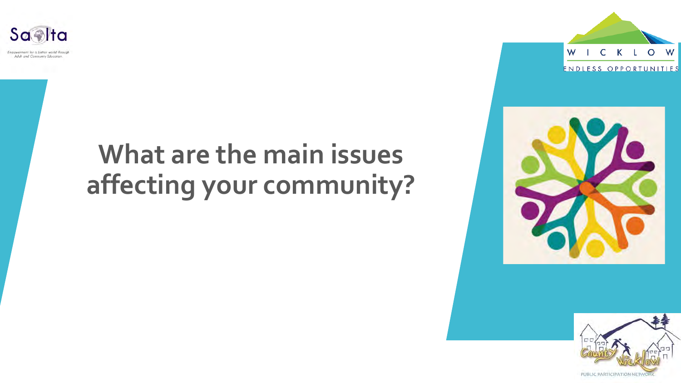

# **What are the main issues affecting your community?**





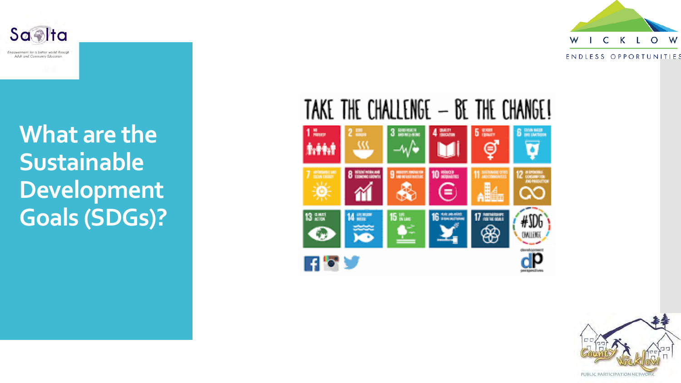





TAKE THE CHALLENGE - BE THE CHANGE! **8** Browning 3 DENVIS  $4<sup>min</sup>$ **5 man**  $\frac{M}{2}$ e. w Θ ۰ **The Contenting** 8 Hitchcock 9 **MONT MONTO** 10 Hours  $12 \frac{m \times m \times m}{m \times m \times m}$ ⋹  $\infty$ 13 2票 14 mm  $15<sub>km</sub>$ 16 *<u>ARLINGSH</u>* 17 harmland #SDI ❀ **DALLIS HAA** 

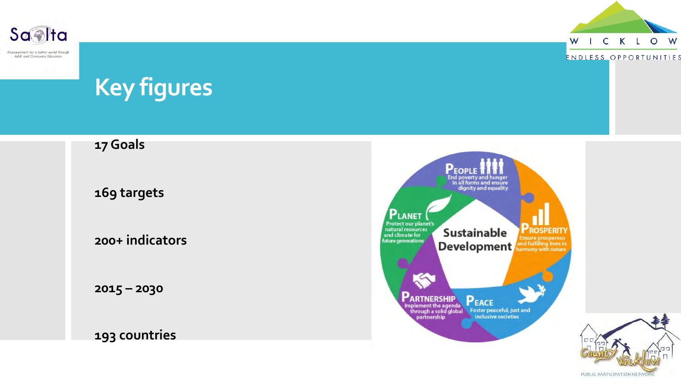



ENDLESS OPPORTUNITIES

# **Key figures**

## **17 Goals**

**169 targets** 

**200+ indicators**

**2015 – 2030** 

## **193 countries**



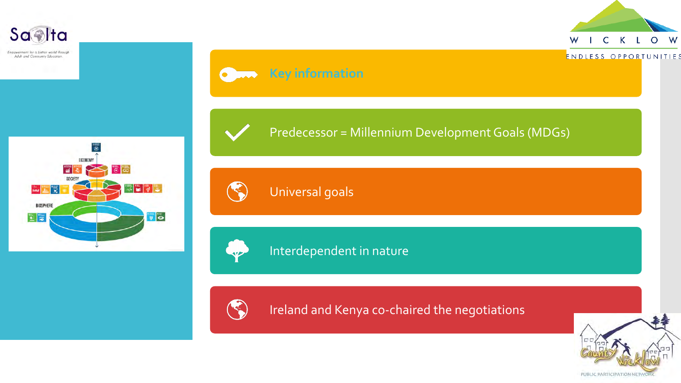

Empowerment for a better world through Adult and Community Education.





 $\bullet$ 





## Universal goals

**Key information** 



## Interdependent in nature



Ireland and Kenya co-chaired the negotiations



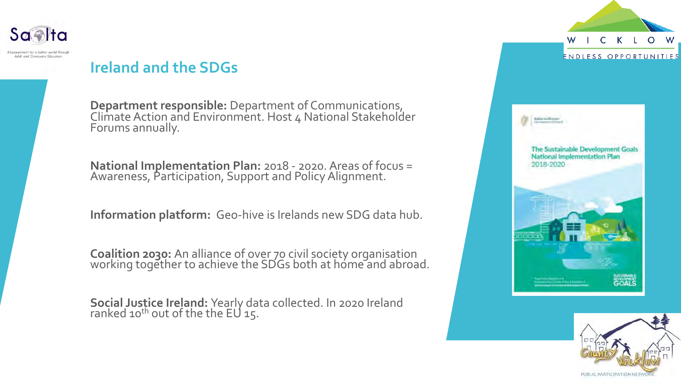

## **Ireland and the SDGs**

**Department responsible:** Department of Communications, Climate Action and Environment. Host 4 National Stakeholder Forums annually.

**National Implementation Plan:** 2018 - 2020. Areas of focus = Awareness, Participation, Support and Policy Alignment.

**Information platform:** Geo-hive is Irelands new SDG data hub.

**Coalition 2030:** An alliance of over 70 civil society organisation working together to achieve the SDGs both at home and abroad.

**Social Justice Ireland:** Yearly data collected. In 2020 Ireland ranked 10<sup>th</sup> out of the the EU 15.



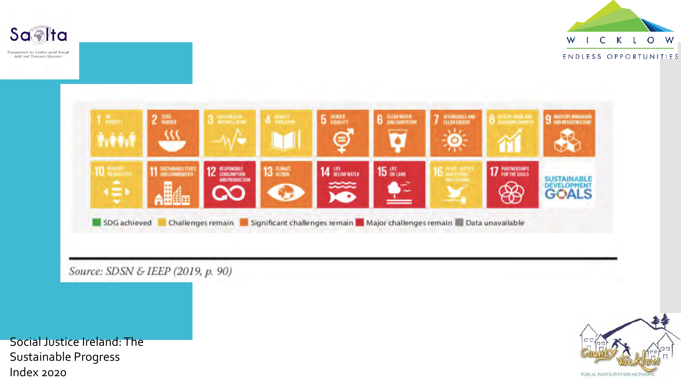

Empowerment for a better world through Adult and Community Education.





Social Justice Ireland: The Sustainable Progress Index 2020

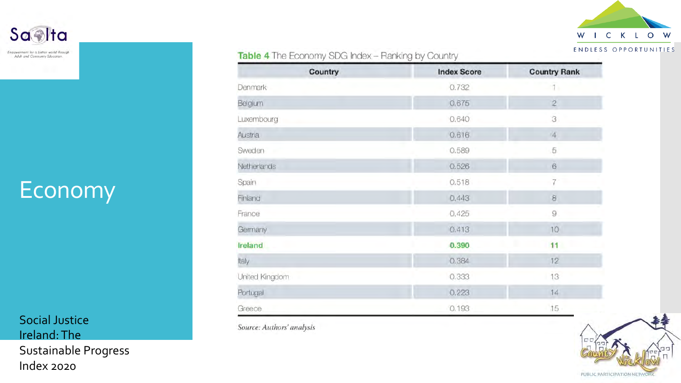

#### Table 4 The Economy SDG Index - Ranking by Country

| Country             | <b>Index Score</b> | <b>Country Rank</b> |
|---------------------|--------------------|---------------------|
| Denmark             | 0.732              | 1.                  |
| Belgium             | 0.675              | $\overline{2}$      |
| Luxembourg          | 0.640              | $\beta$             |
| Austria             | 0.616              | $\overline{4}$      |
| Sweden              | 0.589              | 5                   |
| Netherlands         | 0.526              | $\mathbf 6$         |
| Spain               | 0.518              |                     |
| Finland             | 0.443              | $\mathbf 8$         |
| France              | 0.425              | $\overline{9}$      |
| Germany             | 0.413              | 10                  |
| Ireland             | 0.390              | 11                  |
| Italy               | 0.384              | 12                  |
| United Kingdom<br>ó | 0.333              | 13                  |
| Portugal            | 0.223              | 14                  |
| Greece              | 0.193              | 15                  |

Source: Authors' analysis



# **Economy**

Saalta

Empowerment for a better world through

Adult and Community Education.

Social Justice Ireland: The Sustainable Progress Index 2020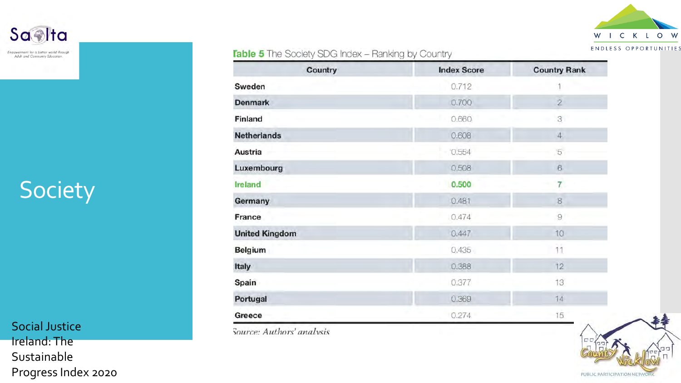

#### **Table 5** The Society SDG Index - Ranking by Country

| Country               | <b>Index Score</b> | <b>Country Rank</b> |
|-----------------------|--------------------|---------------------|
| Sweden                | 0.712              |                     |
| <b>Denmark</b>        | 0.700              | $\overline{2}$      |
| Finland               | 0.660              | 3                   |
| <b>Netherlands</b>    | 0.608              | $\sqrt{4}$          |
| Austria               | 0.554              | 5                   |
| <b>Luxembourg</b>     | 0.508              | $\sqrt{6}$          |
| Ireland               | 0.500              | 7 <sup>1</sup>      |
| Germany               | 0.481              | 8                   |
| France                | 0.474              | $\overline{9}$      |
| <b>United Kingdom</b> | 0.447              | 10                  |
| <b>Belgium</b>        | 0.435              | 11                  |
| Italy                 | 0.388              | 12                  |
| Spain                 | 0.377              | 13                  |
| Portugal              | 0.369              | 14                  |
| Greece                | 0.274              | 15                  |

Source: Authors' analysis



# Society

Social Justice Ireland: The Sustainable Progress Index 2020



Empowerment for a better world through Adult and Community Education.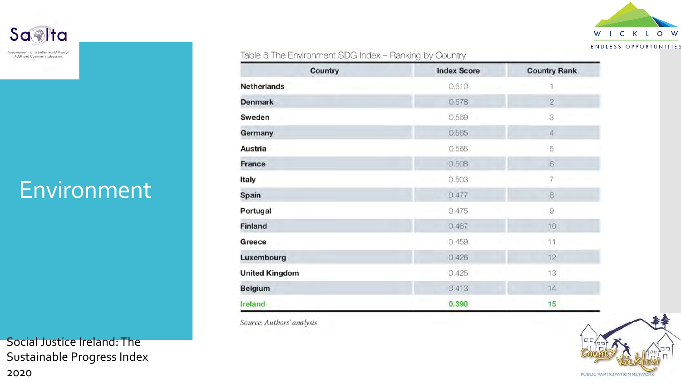

#### Table 6 The Environment SDG Index - Ranking by Country

| Country               | <b>Index Score</b> | <b>Country Rank</b> |
|-----------------------|--------------------|---------------------|
| <b>Netherlands</b>    | 0.610              |                     |
| <b>Denmark</b>        | 0.578              | $\overline{2}$      |
| Sweden                | 0.569              | 3                   |
| Germany               | 0.565              | $\overline{4}$      |
| Austria               | 0.565              | 5                   |
| France                | 0.508              | $\mathbf{G}$        |
| Italy                 | 0.503              |                     |
| Spain                 | 0.477              | $\boxtimes$         |
| Portugal              | 0.475              | 9                   |
| Finland               | 0.467              | 10                  |
| Greece                | 0.459              | 11                  |
| Luxembourg            | 0.426              | 12                  |
| <b>United Kingdom</b> | 0.425              | 13                  |
| <b>Belgium</b>        | 0.413              | 14                  |
| <b>Ireland</b>        | 0.390              | 15                  |

Source: Authors' analysis



# Environment

Saalta

Empowerment for a better world through

Adult and Community Education.

Social Justice Ireland: The Sustainable Progress Index 2020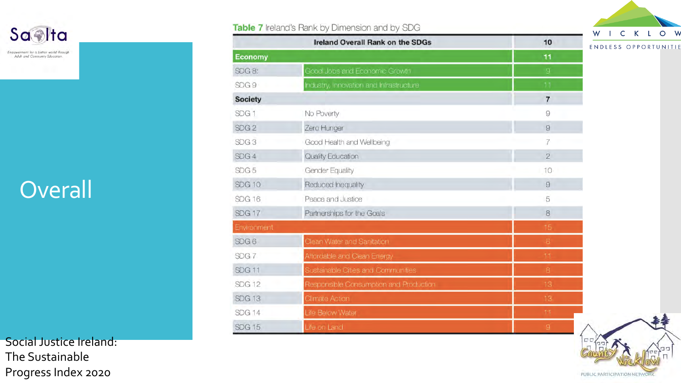

Empowerment for a better world through Adult and Community Education.

# **Overall**

Social Justice Ireland: The Sustainable Progress Index 2020

#### Table 7 Ireland's Rank by Dimension and by SDG





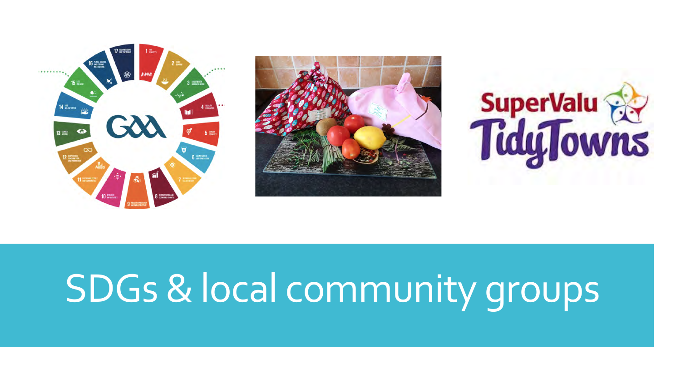





# SDGs & local community groups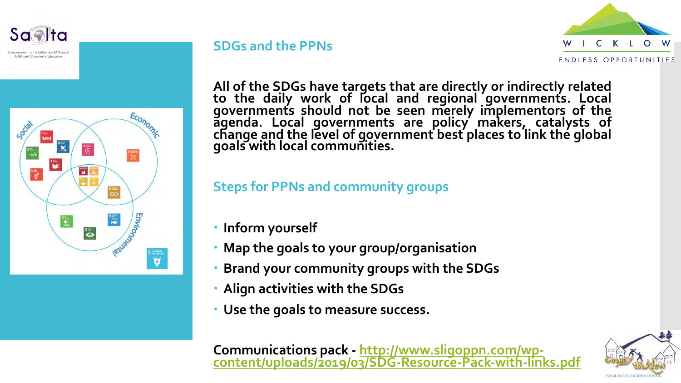powerment for a better world throug Adult and Community Education



#### **SDGs and the PPNs**



**All of the SDGs have targets that are directly or indirectly related to the daily work of local and regional governments. Local governments should not be seen merely implementors of the agenda. Local governments are policy makers, catalysts of change and the level of government best places to link the global goals with local communities.**

**Steps for PPNs and community groups**

- **Inform yourself**
- **Map the goals to your group/organisation**
- **Brand your community groups with the SDGs**
- **Align activities with the SDGs**
- **Use the goals to measure success.**

**Communications pack - http://www.sligoppn.com/wp- [content/uploads/2019/03/SDG-Resource-Pack-with-links.pdf](http://www.sligoppn.com/wp-content/uploads/2019/03/SDG-Resource-Pack-with-links.pdf)**

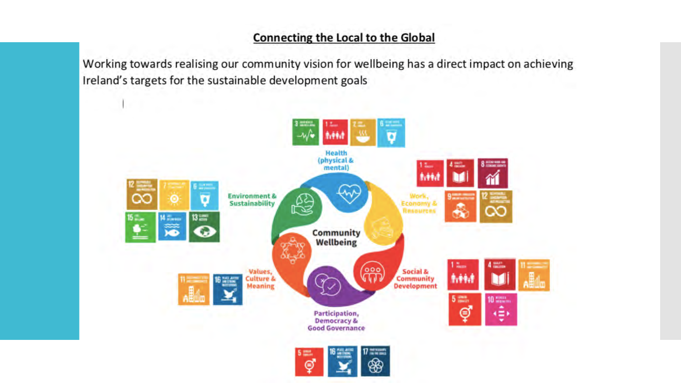#### **Connecting the Local to the Global**

Working towards realising our community vision for wellbeing has a direct impact on achieving Ireland's targets for the sustainable development goals

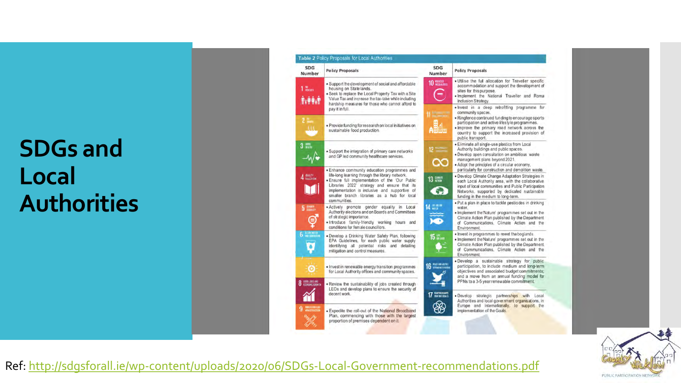# **SDGs and Local Authorities**



**Policy Proposals** . Utilise the full allocation for Traveller specific accommodation and support the development of sites for this purpose. . Implement the National Traveller and Roma Inclusion Strategy. . Invest in a deep retrofitting programme for community spaces. · Ringfence continued funding to encourage sports participation and active lifestyle programmes. . Improve the primary road network across the country to support the increased provision of public transport. · Eliminate all single-use plastics from Local Authority buildings and public spaces. · Develop open consultation on ambitious waste management plans beyond 2021. . Adopt the principles of a circular economy, particularly for construction and demolition waste. · Develop Climate Change Adaptation Strategies in each Local Authority area, with the collaborative input of local communities and Public Participation Networks, supported by dedicated sustainable funding in the medium to long-term. . Put a plan in place to tackle pesticides in drinking Implement the Nature' programmes set out in the Climate Action Plan published by the Department of Communications, Climate Action and the · Invest in programmes to rewet the boglands. . Implement the Nature' programmes set out in the Climate Action Plan published by the Department of Communications, Climate Action and the Develop a sustainable strategy for public participation, to include medium and long-term objectives and associated budget commitments; and a move from an annual funding model for PPNs to a 3-5 year renewable commitment. Develop strategic partnerships with Local Authorities and local government organisations, in Europe and Internationally, to support the implementation of the Goals.



Ref:<http://sdgsforall.ie/wp-content/uploads/2020/06/SDGs-Local-Government-recommendations.pdf>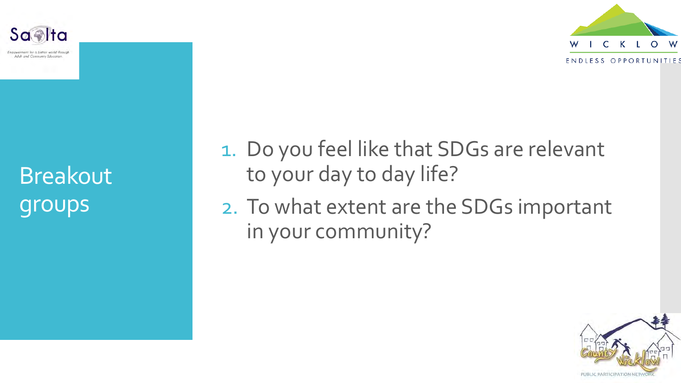



1. Do you feel like that SDGs are relevant to your day to day life?

2. To what extent are the SDGs important in your community?



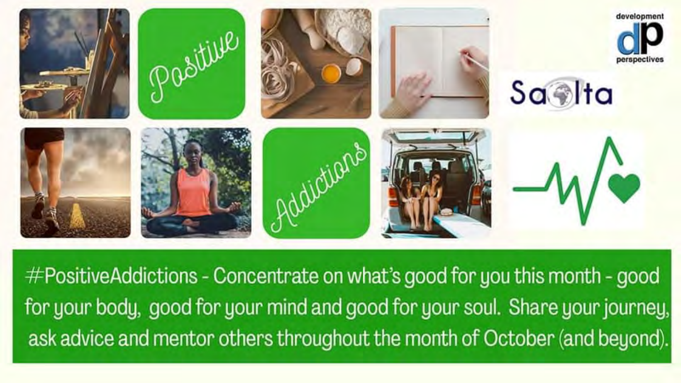

 $#PositiveAddictions - Concentrate$  on what's good for you this month - good for your body, good for your mind and good for your soul. Share your journey, ask advice and mentor others throughout the month of October (and beyond).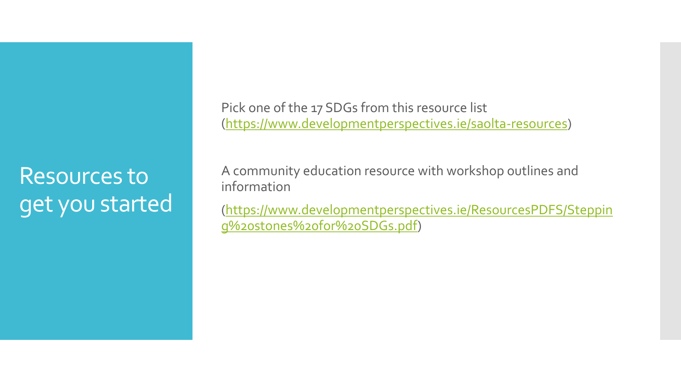Resources to get you started Pick one of the 17 SDGs from this resource list (<https://www.developmentperspectives.ie/saolta-resources>)

A community education resource with workshop outlines and information

[\(https://www.developmentperspectives.ie/ResourcesPDFS/Steppin](https://www.developmentperspectives.ie/ResourcesPDFS/Stepping%2520stones%2520for%2520SDGs.pdf) g%20stones%20for%20SDGs.pdf)